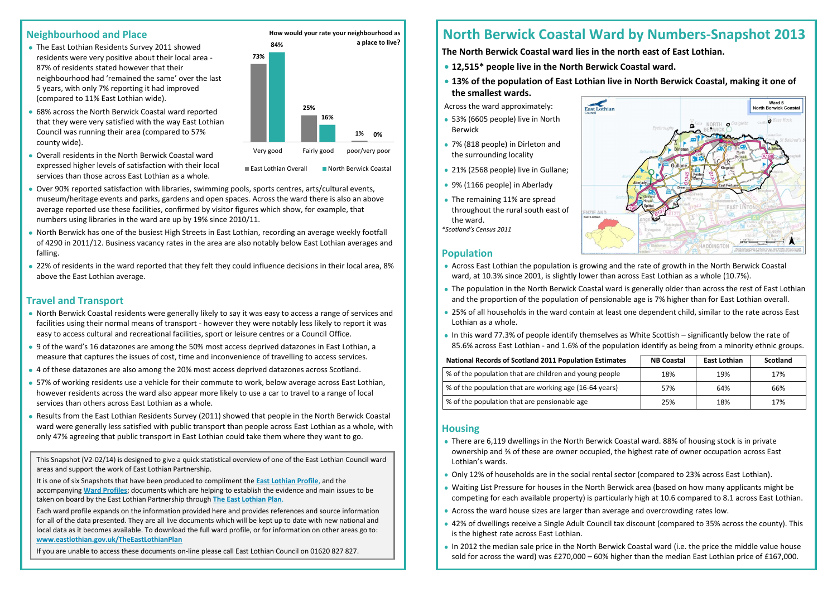### **Neighbourhood and Place**

- The East Lothian Residents Survey 2011 showed residents were very positive about their local area - 87% of residents stated however that their neighbourhood had 'remained the same' over the last 5 years, with only 7% reporting it had improved (compared to 11% East Lothian wide).
- 68% across the North Berwick Coastal ward reported that they were very satisfied with the way East Lothian Council was running their area (compared to 57% county wide).
- Overall residents in the North Berwick Coastal ward expressed higher levels of satisfaction with their local services than those across East Lothian as a whole.

- Over 90% reported satisfaction with libraries, swimming pools, sports centres, arts/cultural events, museum/heritage events and parks, gardens and open spaces. Across the ward there is also an above average reported use these facilities, confirmed by visitor figures which show, for example, that numbers using libraries in the ward are up by 19% since 2010/11.
- North Berwick has one of the busiest High Streets in East Lothian, recording an average weekly footfall of 4290 in 2011/12. Business vacancy rates in the area are also notably below East Lothian averages and falling.
- 22% of residents in the ward reported that they felt they could influence decisions in their local area, 8% above the East Lothian average.

# **Travel and Transport**

- 53% (6605 people) live in North Berwick
- 7% (818 people) in Dirleton and the surrounding locality
- 21% (2568 people) live in Gullane;
- 9% (1166 people) in Aberlady
- The remaining 11% are spread throughout the rural south east of the ward. *\*Scotland's Census 2011*

NZIE ANI

- North Berwick Coastal residents were generally likely to say it was easy to access a range of services and facilities using their normal means of transport - however they were notably less likely to report it was easy to access cultural and recreational facilities, sport or leisure centres or a Council Office.
- 9 of the ward's 16 datazones are among the 50% most access deprived datazones in East Lothian, a measure that captures the issues of cost, time and inconvenience of travelling to access services.
- 4 of these datazones are also among the 20% most access deprived datazones across Scotland.
- 57% of working residents use a vehicle for their commute to work, below average across East Lothian, however residents across the ward also appear more likely to use a car to travel to a range of local services than others across East Lothian as a whole.
- Results from the East Lothian Residents Survey (2011) showed that people in the North Berwick Coastal ward were generally less satisfied with public transport than people across East Lothian as a whole, with only 47% agreeing that public transport in East Lothian could take them where they want to go.

# **North Berwick Coastal Ward by Numbers-Snapshot 2013**

**The North Berwick Coastal ward lies in the north east of East Lothian.**

- **12,515\* people live in the North Berwick Coastal ward.**
- **13% of the population of East Lothian live in North Berwick Coastal, making it one of the smallest wards.**

Across the ward approximately:

# **Population**

- Across East Lothian the population is growing and the rate of growth in the North Berwick Coastal ward, at 10.3% since 2001, is slightly lower than across East Lothian as a whole (10.7%).
- The population in the North Berwick Coastal ward is generally older than across the rest of East Lothian and the proportion of the population of pensionable age is 7% higher than for East Lothian overall.
- 25% of all households in the ward contain at least one dependent child, similar to the rate across East Lothian as a whole.
- In this ward 77.3% of people identify themselves as White Scottish significantly below the rate of 85.6% across East Lothian - and 1.6% of the population identify as being from a minority ethnic groups.

#### **National Records of Scotland 2011 Population Estimates**

% of the population that are children and young people

% of the population that are working age (16-64 years)

% of the population that are pensionable age

# **Housing**

- There are 6,119 dwellings in the North Berwick Coastal ward. 88% of housing stock is in private ownership and ⅔ of these are owner occupied, the highest rate of owner occupation across East Lothian's wards.
- Only 12% of households are in the social rental sector (compared to 23% across East Lothian).
- Waiting List Pressure for houses in the North Berwick area (based on how many applicants might be competing for each available property) is particularly high at 10.6 compared to 8.1 across East Lothian.
- Across the ward house sizes are larger than average and overcrowding rates low.
- 42% of dwellings receive a Single Adult Council tax discount (compared to 35% across the county). This is the highest rate across East Lothian.
- In 2012 the median sale price in the North Berwick Coastal ward (i.e. the price the middle value house sold for across the ward) was £270,000 – 60% higher than the median East Lothian price of £167,000.



| <b>NB Coastal</b> | <b>East Lothian</b> | <b>Scotland</b> |
|-------------------|---------------------|-----------------|
| 18%               | 19%                 | 17%             |
| 57%               | 64%                 | 66%             |
| 25%               | 18%                 | 17%             |

This Snapshot (V2-02/14) is designed to give a quick statistical overview of one of the East Lothian Council ward areas and support the work of East Lothian Partnership.

It is one of six Snapshots that have been produced to compliment the **[East Lothian Profile](http://www.eastlothian.gov.uk/downloads/file/7359/east_lothian_profile_2013)**, and the accompanying **[Ward Profiles](http://www.eastlothian.gov.uk/info/200135/east_lothian_partnership_priorities/1586/community_planning_in_east_lothian/3)**; documents which are helping to establish the evidence and main issues to be taken on board by the East Lothian Partnership through **[The East Lothian Plan](http://www.eastlothian.gov.uk/info/200135/east_lothian_partnership_priorities/1586/community_planning_in_east_lothian/3)**.

Each ward profile expands on the information provided here and provides references and source information for all of the data presented. They are all live documents which will be kept up to date with new national and local data as it becomes available. To download the full ward profile, or for information on other areas go to: **[www.eastlothian.gov.uk/TheEastLothianPlan](http://www.eastlothian.gov.uk/TheEastLothianPlan)**

If you are unable to access these documents on-line please call East Lothian Council on 01620 827 827.